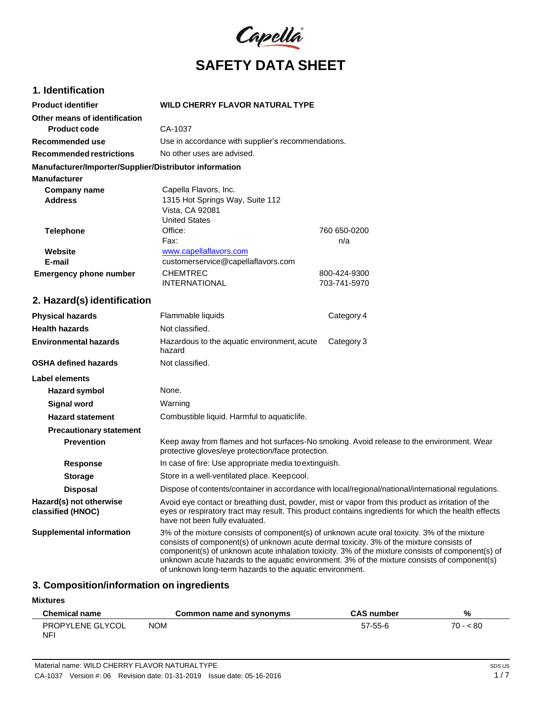

## **1. Identification**

| <b>Product identifier</b>                              | <b>WILD CHERRY FLAVOR NATURAL TYPE</b>             |              |
|--------------------------------------------------------|----------------------------------------------------|--------------|
| Other means of identification                          |                                                    |              |
| <b>Product code</b>                                    | CA-1037                                            |              |
| Recommended use                                        | Use in accordance with supplier's recommendations. |              |
| <b>Recommended restrictions</b>                        | No other uses are advised.                         |              |
| Manufacturer/Importer/Supplier/Distributor information |                                                    |              |
| <b>Manufacturer</b>                                    |                                                    |              |
| Company name                                           | Capella Flavors, Inc.                              |              |
| <b>Address</b>                                         | 1315 Hot Springs Way, Suite 112                    |              |
|                                                        | Vista, CA 92081                                    |              |
|                                                        | <b>United States</b>                               |              |
| <b>Telephone</b>                                       | Office:                                            | 760 650-0200 |
|                                                        | Fax:                                               | n/a          |
| Website                                                | www.capellaflavors.com                             |              |
| E-mail                                                 | customerservice@capellaflavors.com                 |              |
| <b>Emergency phone number</b>                          | <b>CHEMTREC</b>                                    | 800-424-9300 |
|                                                        | <b>INTERNATIONAL</b>                               | 703-741-5970 |

## **2. Hazard(s) identification**

| <b>Physical hazards</b>                      | Flammable liquids                                                                                                                                                                                                                                    | Category 4                                                                                                                                                                                       |
|----------------------------------------------|------------------------------------------------------------------------------------------------------------------------------------------------------------------------------------------------------------------------------------------------------|--------------------------------------------------------------------------------------------------------------------------------------------------------------------------------------------------|
| <b>Health hazards</b>                        | Not classified.                                                                                                                                                                                                                                      |                                                                                                                                                                                                  |
| <b>Environmental hazards</b>                 | Hazardous to the aquatic environment, acute<br>hazard                                                                                                                                                                                                | Category 3                                                                                                                                                                                       |
| <b>OSHA defined hazards</b>                  | Not classified.                                                                                                                                                                                                                                      |                                                                                                                                                                                                  |
| Label elements                               |                                                                                                                                                                                                                                                      |                                                                                                                                                                                                  |
| <b>Hazard symbol</b>                         | None.                                                                                                                                                                                                                                                |                                                                                                                                                                                                  |
| Signal word                                  | Warning                                                                                                                                                                                                                                              |                                                                                                                                                                                                  |
| <b>Hazard statement</b>                      | Combustible liquid. Harmful to aquatic life.                                                                                                                                                                                                         |                                                                                                                                                                                                  |
| <b>Precautionary statement</b>               |                                                                                                                                                                                                                                                      |                                                                                                                                                                                                  |
| <b>Prevention</b>                            | Keep away from flames and hot surfaces-No smoking. Avoid release to the environment. Wear<br>protective gloves/eye protection/face protection.                                                                                                       |                                                                                                                                                                                                  |
| <b>Response</b>                              | In case of fire: Use appropriate media to extinguish.                                                                                                                                                                                                |                                                                                                                                                                                                  |
| <b>Storage</b>                               | Store in a well-ventilated place. Keep cool.                                                                                                                                                                                                         |                                                                                                                                                                                                  |
| <b>Disposal</b>                              | Dispose of contents/container in accordance with local/regional/national/international regulations.                                                                                                                                                  |                                                                                                                                                                                                  |
| Hazard(s) not otherwise<br>classified (HNOC) | Avoid eye contact or breathing dust, powder, mist or vapor from this product as irritation of the<br>have not been fully evaluated.                                                                                                                  | eyes or respiratory tract may result. This product contains ingredients for which the health effects                                                                                             |
| <b>Supplemental information</b>              | 3% of the mixture consists of component(s) of unknown acute oral toxicity. 3% of the mixture<br>consists of component(s) of unknown acute dermal toxicity. 3% of the mixture consists of<br>of unknown long-term hazards to the aquatic environment. | component(s) of unknown acute inhalation toxicity. 3% of the mixture consists of component(s) of<br>unknown acute hazards to the aquatic environment. 3% of the mixture consists of component(s) |

## **3. Composition/information on ingredients**

## **Mixtures**

| <b>Chemical name</b>                 | Common name and synonyms | <b>CAS number</b> | %         |
|--------------------------------------|--------------------------|-------------------|-----------|
| <b>PROPYLENE GLYCOL</b><br><b>NF</b> | <b>NOM</b>               | 57-55-6           | $70 - 80$ |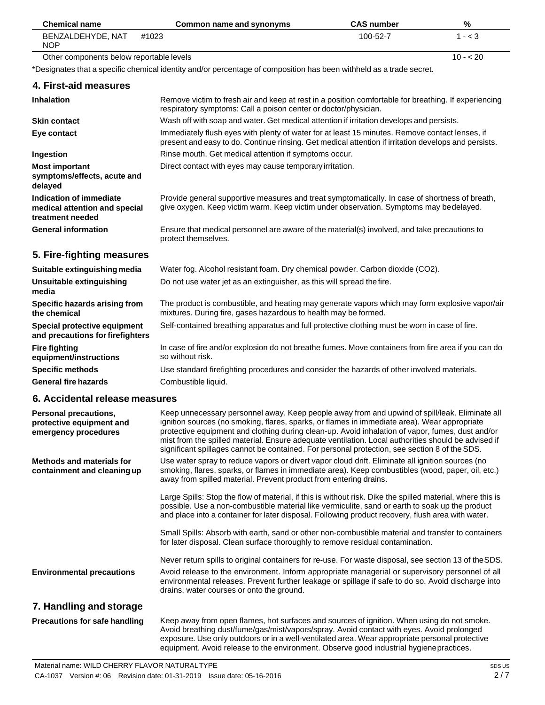| <b>Chemical name</b>                     | Common name and synonyms | <b>CAS</b> number | %         |
|------------------------------------------|--------------------------|-------------------|-----------|
| BENZALDEHYDE, NAT<br><b>NOP</b>          | #1023                    | $100 - 52 - 7$    | 1 - < 3   |
| Other components below reportable levels |                          |                   | $10 - 20$ |

Other components below reportable levels

\*Designates that a specific chemical identity and/or percentage of composition has been withheld as a trade secret.

### **4. First-aid measures**

L,

| <b>Inhalation</b>                                                            | Remove victim to fresh air and keep at rest in a position comfortable for breathing. If experiencing<br>respiratory symptoms: Call a poison center or doctor/physician.                                |
|------------------------------------------------------------------------------|--------------------------------------------------------------------------------------------------------------------------------------------------------------------------------------------------------|
| <b>Skin contact</b>                                                          | Wash off with soap and water. Get medical attention if irritation develops and persists.                                                                                                               |
| Eye contact                                                                  | Immediately flush eyes with plenty of water for at least 15 minutes. Remove contact lenses, if<br>present and easy to do. Continue rinsing. Get medical attention if irritation develops and persists. |
| Ingestion                                                                    | Rinse mouth. Get medical attention if symptoms occur.                                                                                                                                                  |
| <b>Most important</b><br>symptoms/effects, acute and<br>delayed              | Direct contact with eyes may cause temporary irritation.                                                                                                                                               |
| Indication of immediate<br>medical attention and special<br>treatment needed | Provide general supportive measures and treat symptomatically. In case of shortness of breath,<br>give oxygen. Keep victim warm. Keep victim under observation. Symptoms may bedelayed.                |
| <b>General information</b>                                                   | Ensure that medical personnel are aware of the material(s) involved, and take precautions to<br>protect themselves.                                                                                    |

## **5. Fire-fighting measures**

| Suitable extinguishing media                                     | Water fog. Alcohol resistant foam. Dry chemical powder. Carbon dioxide (CO2).                                                                                     |
|------------------------------------------------------------------|-------------------------------------------------------------------------------------------------------------------------------------------------------------------|
| Unsuitable extinguishing<br>media                                | Do not use water jet as an extinguisher, as this will spread the fire.                                                                                            |
| Specific hazards arising from<br>the chemical                    | The product is combustible, and heating may generate vapors which may form explosive vapor/air<br>mixtures. During fire, gases hazardous to health may be formed. |
| Special protective equipment<br>and precautions for firefighters | Self-contained breathing apparatus and full protective clothing must be worn in case of fire.                                                                     |
| <b>Fire fighting</b><br>equipment/instructions                   | In case of fire and/or explosion do not breathe fumes. Move containers from fire area if you can do<br>so without risk.                                           |
| <b>Specific methods</b>                                          | Use standard firefighting procedures and consider the hazards of other involved materials.                                                                        |
| <b>General fire hazards</b>                                      | Combustible liquid.                                                                                                                                               |

## **6. Accidental release measures**

| Personal precautions,<br>protective equipment and<br>emergency procedures | Keep unnecessary personnel away. Keep people away from and upwind of spill/leak. Eliminate all<br>ignition sources (no smoking, flares, sparks, or flames in immediate area). Wear appropriate<br>protective equipment and clothing during clean-up. Avoid inhalation of vapor, fumes, dust and/or<br>mist from the spilled material. Ensure adequate ventilation. Local authorities should be advised if<br>significant spillages cannot be contained. For personal protection, see section 8 of the SDS. |
|---------------------------------------------------------------------------|------------------------------------------------------------------------------------------------------------------------------------------------------------------------------------------------------------------------------------------------------------------------------------------------------------------------------------------------------------------------------------------------------------------------------------------------------------------------------------------------------------|
| Methods and materials for<br>containment and cleaning up                  | Use water spray to reduce vapors or divert vapor cloud drift. Eliminate all ignition sources (no<br>smoking, flares, sparks, or flames in immediate area). Keep combustibles (wood, paper, oil, etc.)<br>away from spilled material. Prevent product from entering drains.                                                                                                                                                                                                                                 |
|                                                                           | Large Spills: Stop the flow of material, if this is without risk. Dike the spilled material, where this is<br>possible. Use a non-combustible material like vermiculite, sand or earth to soak up the product<br>and place into a container for later disposal. Following product recovery, flush area with water.                                                                                                                                                                                         |
|                                                                           | Small Spills: Absorb with earth, sand or other non-combustible material and transfer to containers<br>for later disposal. Clean surface thoroughly to remove residual contamination.                                                                                                                                                                                                                                                                                                                       |
|                                                                           | Never return spills to original containers for re-use. For waste disposal, see section 13 of the SDS.                                                                                                                                                                                                                                                                                                                                                                                                      |
| <b>Environmental precautions</b>                                          | Avoid release to the environment. Inform appropriate managerial or supervisory personnel of all<br>environmental releases. Prevent further leakage or spillage if safe to do so. Avoid discharge into<br>drains, water courses or onto the ground.                                                                                                                                                                                                                                                         |
| 7. Handling and storage                                                   |                                                                                                                                                                                                                                                                                                                                                                                                                                                                                                            |
| <b>Precautions for safe handling</b>                                      | Keep away from open flames, hot surfaces and sources of ignition. When using do not smoke.<br>Avoid breathing dust/fume/gas/mist/vapors/spray. Avoid contact with eyes. Avoid prolonged                                                                                                                                                                                                                                                                                                                    |

exposure. Use only outdoors or in a well-ventilated area. Wear appropriate personal protective equipment. Avoid release to the environment. Observe good industrial hygienepractices.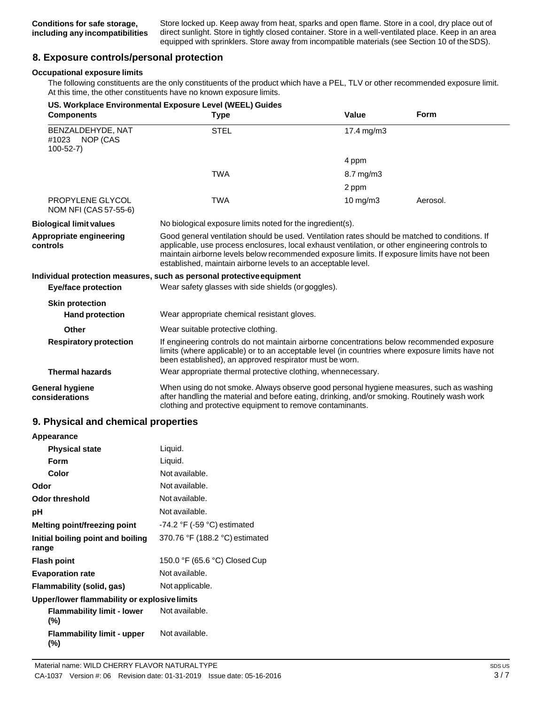Store locked up. Keep away from heat, sparks and open flame. Store in a cool, dry place out of direct sunlight. Store in tightly closed container. Store in a well-ventilated place. Keep in an area equipped with sprinklers. Store away from incompatible materials (see Section 10 of theSDS).

## **8. Exposure controls/personal protection**

#### **Occupational exposure limits**

The following constituents are the only constituents of the product which have a PEL, TLV or other recommended exposure limit. At this time, the other constituents have no known exposure limits.

| <b>Components</b>                                        | US. Workplace Environmental Exposure Level (WEEL) Guides<br><b>Type</b>                                                                                                                                                                                                                                                                                            | Value             | <b>Form</b> |
|----------------------------------------------------------|--------------------------------------------------------------------------------------------------------------------------------------------------------------------------------------------------------------------------------------------------------------------------------------------------------------------------------------------------------------------|-------------------|-------------|
| BENZALDEHYDE, NAT<br>#1023<br>NOP (CAS<br>$100 - 52 - 7$ | <b>STEL</b>                                                                                                                                                                                                                                                                                                                                                        | 17.4 mg/m3        |             |
|                                                          |                                                                                                                                                                                                                                                                                                                                                                    | 4 ppm             |             |
|                                                          | <b>TWA</b>                                                                                                                                                                                                                                                                                                                                                         | 8.7 mg/m3         |             |
|                                                          |                                                                                                                                                                                                                                                                                                                                                                    | 2 ppm             |             |
| PROPYLENE GLYCOL<br>NOM NFI (CAS 57-55-6)                | <b>TWA</b>                                                                                                                                                                                                                                                                                                                                                         | $10 \text{ mg/m}$ | Aerosol.    |
| <b>Biological limit values</b>                           | No biological exposure limits noted for the ingredient(s).                                                                                                                                                                                                                                                                                                         |                   |             |
| Appropriate engineering<br>controls                      | Good general ventilation should be used. Ventilation rates should be matched to conditions. If<br>applicable, use process enclosures, local exhaust ventilation, or other engineering controls to<br>maintain airborne levels below recommended exposure limits. If exposure limits have not been<br>established, maintain airborne levels to an acceptable level. |                   |             |
|                                                          | Individual protection measures, such as personal protective equipment                                                                                                                                                                                                                                                                                              |                   |             |
| <b>Eye/face protection</b>                               | Wear safety glasses with side shields (or goggles).                                                                                                                                                                                                                                                                                                                |                   |             |
| <b>Skin protection</b>                                   |                                                                                                                                                                                                                                                                                                                                                                    |                   |             |
| <b>Hand protection</b>                                   | Wear appropriate chemical resistant gloves.                                                                                                                                                                                                                                                                                                                        |                   |             |
| Other                                                    | Wear suitable protective clothing.                                                                                                                                                                                                                                                                                                                                 |                   |             |
| <b>Respiratory protection</b>                            | If engineering controls do not maintain airborne concentrations below recommended exposure<br>limits (where applicable) or to an acceptable level (in countries where exposure limits have not<br>been established), an approved respirator must be worn.                                                                                                          |                   |             |
| <b>Thermal hazards</b>                                   | Wear appropriate thermal protective clothing, whennecessary.                                                                                                                                                                                                                                                                                                       |                   |             |
| General hygiene<br>considerations                        | When using do not smoke. Always observe good personal hygiene measures, such as washing<br>after handling the material and before eating, drinking, and/or smoking. Routinely wash work<br>clothing and protective equipment to remove contaminants.                                                                                                               |                   |             |

## **9. Physical and chemical properties**

| Appearance                                   |                                  |
|----------------------------------------------|----------------------------------|
| <b>Physical state</b>                        | Liquid.                          |
| Form                                         | Liquid.                          |
| Color                                        | Not available.                   |
| Odor                                         | Not available.                   |
| Odor threshold                               | Not available.                   |
| рH                                           | Not available.                   |
| Melting point/freezing point                 | $-74.2$ °F ( $-59$ °C) estimated |
| Initial boiling point and boiling<br>range   | 370.76 °F (188.2 °C) estimated   |
| <b>Flash point</b>                           | 150.0 °F (65.6 °C) Closed Cup    |
| <b>Evaporation rate</b>                      | Not available.                   |
| Flammability (solid, gas)                    | Not applicable.                  |
| Upper/lower flammability or explosive limits |                                  |
| <b>Flammability limit - lower</b><br>$(\% )$ | Not available.                   |
| <b>Flammability limit - upper</b><br>(%)     | Not available.                   |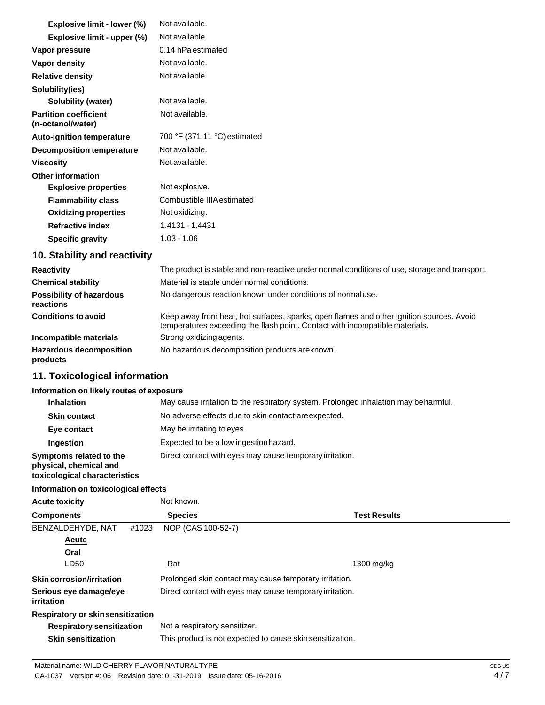| <b>Explosive limit - lower (%)</b>                | Not available.               |
|---------------------------------------------------|------------------------------|
| Explosive limit - upper (%)                       | Not available.               |
| Vapor pressure                                    | 0.14 hPa estimated           |
| Vapor density                                     | Not available.               |
| <b>Relative density</b>                           | Not available.               |
| Solubility(ies)                                   |                              |
| Solubility (water)                                | Not available.               |
| <b>Partition coefficient</b><br>(n-octanol/water) | Not available.               |
| <b>Auto-ignition temperature</b>                  | 700 °F (371.11 °C) estimated |
| Decomposition temperature                         | Not available.               |
| <b>Viscosity</b>                                  | Not available.               |
| <b>Other information</b>                          |                              |
| <b>Explosive properties</b>                       | Not explosive.               |
| <b>Flammability class</b>                         | Combustible IIIA estimated   |
| <b>Oxidizing properties</b>                       | Not oxidizing.               |
| <b>Refractive index</b>                           | 1.4131 - 1.4431              |
| <b>Specific gravity</b>                           | $1.03 - 1.06$                |

## **10. Stability and reactivity**

| <b>Reactivity</b>                            | The product is stable and non-reactive under normal conditions of use, storage and transport.                                                                            |
|----------------------------------------------|--------------------------------------------------------------------------------------------------------------------------------------------------------------------------|
| <b>Chemical stability</b>                    | Material is stable under normal conditions.                                                                                                                              |
| <b>Possibility of hazardous</b><br>reactions | No dangerous reaction known under conditions of normal use.                                                                                                              |
| <b>Conditions to avoid</b>                   | Keep away from heat, hot surfaces, sparks, open flames and other ignition sources. Avoid<br>temperatures exceeding the flash point. Contact with incompatible materials. |
| Incompatible materials                       | Strong oxidizing agents.                                                                                                                                                 |
| <b>Hazardous decomposition</b><br>products   | No hazardous decomposition products are known.                                                                                                                           |

# **11. Toxicological information**

## **Information on likely routes of exposure**

| <b>Inhalation</b>                                                                  | May cause irritation to the respiratory system. Prolonged inhalation may be harmful. |
|------------------------------------------------------------------------------------|--------------------------------------------------------------------------------------|
| <b>Skin contact</b>                                                                | No adverse effects due to skin contact are expected.                                 |
| Eye contact                                                                        | May be irritating to eyes.                                                           |
| Ingestion                                                                          | Expected to be a low ingestion hazard.                                               |
| Symptoms related to the<br>physical, chemical and<br>toxicological characteristics | Direct contact with eyes may cause temporary irritation.                             |

# **Information on toxicological effects**

| <b>Acute toxicity</b>                |       | Not known.                                                |                     |
|--------------------------------------|-------|-----------------------------------------------------------|---------------------|
| <b>Components</b>                    |       | <b>Species</b>                                            | <b>Test Results</b> |
| BENZALDEHYDE, NAT                    | #1023 | NOP (CAS 100-52-7)                                        |                     |
| <b>Acute</b>                         |       |                                                           |                     |
| Oral                                 |       |                                                           |                     |
| LD50                                 |       | Rat                                                       | 1300 mg/kg          |
| Skin corrosion/irritation            |       | Prolonged skin contact may cause temporary irritation.    |                     |
| Serious eye damage/eye<br>irritation |       | Direct contact with eyes may cause temporary irritation.  |                     |
| Respiratory or skinsensitization     |       |                                                           |                     |
| <b>Respiratory sensitization</b>     |       | Not a respiratory sensitizer.                             |                     |
| <b>Skin sensitization</b>            |       | This product is not expected to cause skin sensitization. |                     |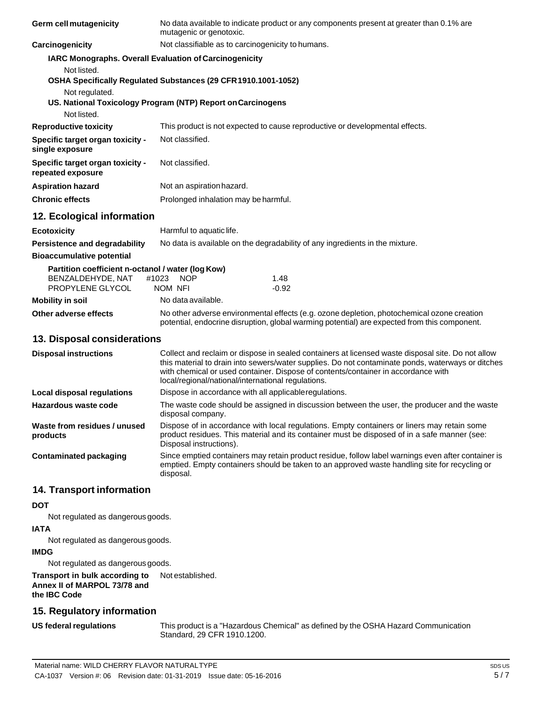| <b>Germ cell mutagenicity</b>                         | No data available to indicate product or any components present at greater than 0.1% are<br>mutagenic or genotoxic.                                                                                                                                                                                                                               |  |  |
|-------------------------------------------------------|---------------------------------------------------------------------------------------------------------------------------------------------------------------------------------------------------------------------------------------------------------------------------------------------------------------------------------------------------|--|--|
| Carcinogenicity                                       | Not classifiable as to carcinogenicity to humans.                                                                                                                                                                                                                                                                                                 |  |  |
|                                                       | IARC Monographs. Overall Evaluation of Carcinogenicity                                                                                                                                                                                                                                                                                            |  |  |
| Not listed.<br>Not regulated.<br>Not listed.          | OSHA Specifically Regulated Substances (29 CFR 1910.1001-1052)<br>US. National Toxicology Program (NTP) Report on Carcinogens                                                                                                                                                                                                                     |  |  |
| <b>Reproductive toxicity</b>                          | This product is not expected to cause reproductive or developmental effects.                                                                                                                                                                                                                                                                      |  |  |
| Specific target organ toxicity -<br>single exposure   | Not classified.                                                                                                                                                                                                                                                                                                                                   |  |  |
| Specific target organ toxicity -<br>repeated exposure | Not classified.                                                                                                                                                                                                                                                                                                                                   |  |  |
| <b>Aspiration hazard</b>                              | Not an aspiration hazard.                                                                                                                                                                                                                                                                                                                         |  |  |
| <b>Chronic effects</b>                                | Prolonged inhalation may be harmful.                                                                                                                                                                                                                                                                                                              |  |  |
| 12. Ecological information                            |                                                                                                                                                                                                                                                                                                                                                   |  |  |
| <b>Ecotoxicity</b>                                    | Harmful to aquatic life.                                                                                                                                                                                                                                                                                                                          |  |  |
| Persistence and degradability                         | No data is available on the degradability of any ingredients in the mixture.                                                                                                                                                                                                                                                                      |  |  |
| <b>Bioaccumulative potential</b>                      |                                                                                                                                                                                                                                                                                                                                                   |  |  |
| Partition coefficient n-octanol / water (log Kow)     |                                                                                                                                                                                                                                                                                                                                                   |  |  |
| BENZALDEHYDE, NAT<br>PROPYLENE GLYCOL                 | #1023<br><b>NOP</b><br>1.48<br>NOM NFI<br>$-0.92$                                                                                                                                                                                                                                                                                                 |  |  |
| <b>Mobility in soil</b>                               | No data available.                                                                                                                                                                                                                                                                                                                                |  |  |
| Other adverse effects                                 | No other adverse environmental effects (e.g. ozone depletion, photochemical ozone creation<br>potential, endocrine disruption, global warming potential) are expected from this component.                                                                                                                                                        |  |  |
| 13. Disposal considerations                           |                                                                                                                                                                                                                                                                                                                                                   |  |  |
| <b>Disposal instructions</b>                          | Collect and reclaim or dispose in sealed containers at licensed waste disposal site. Do not allow<br>this material to drain into sewers/water supplies. Do not contaminate ponds, waterways or ditches<br>with chemical or used container. Dispose of contents/container in accordance with<br>local/regional/national/international regulations. |  |  |
| <b>Local disposal regulations</b>                     | Dispose in accordance with all applicable regulations.                                                                                                                                                                                                                                                                                            |  |  |
| Hazardous waste code                                  | The waste code should be assigned in discussion between the user, the producer and the waste<br>disposal company.                                                                                                                                                                                                                                 |  |  |
| Waste from residues / unused<br>products              | Dispose of in accordance with local regulations. Empty containers or liners may retain some<br>product residues. This material and its container must be disposed of in a safe manner (see:<br>Disposal instructions).                                                                                                                            |  |  |
| <b>Contaminated packaging</b>                         | Since emptied containers may retain product residue, follow label warnings even after container is<br>emptied. Empty containers should be taken to an approved waste handling site for recycling or<br>disposal.                                                                                                                                  |  |  |
| 14. Transport information                             |                                                                                                                                                                                                                                                                                                                                                   |  |  |
| <b>DOT</b>                                            |                                                                                                                                                                                                                                                                                                                                                   |  |  |
|                                                       |                                                                                                                                                                                                                                                                                                                                                   |  |  |

Not regulated as dangerous goods.

#### **IATA**

Not regulated as dangerous goods.

## **IMDG**

Not regulated as dangerous goods.

#### **Transport in bulk according to Annex II of MARPOL 73/78 and the IBC Code** Not established.

## **15. Regulatory information**

**US** federal regulations

This product is a "Hazardous Chemical" as defined by the OSHA Hazard Communication Standard, 29 CFR 1910.1200.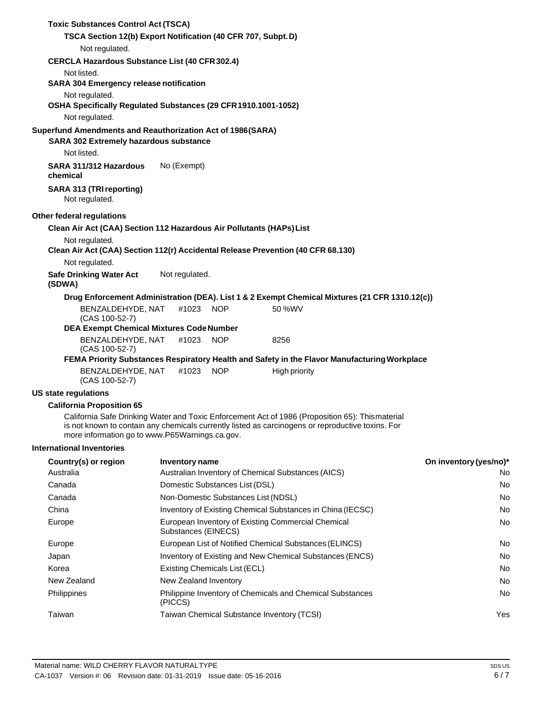| <b>Toxic Substances Control Act (TSCA)</b>                                                           |                                     |                                                                           |                                                                                                                                                                                                      |                        |
|------------------------------------------------------------------------------------------------------|-------------------------------------|---------------------------------------------------------------------------|------------------------------------------------------------------------------------------------------------------------------------------------------------------------------------------------------|------------------------|
| TSCA Section 12(b) Export Notification (40 CFR 707, Subpt. D)                                        |                                     |                                                                           |                                                                                                                                                                                                      |                        |
| Not regulated.                                                                                       |                                     |                                                                           |                                                                                                                                                                                                      |                        |
| <b>CERCLA Hazardous Substance List (40 CFR 302.4)</b>                                                |                                     |                                                                           |                                                                                                                                                                                                      |                        |
| Not listed.                                                                                          |                                     |                                                                           |                                                                                                                                                                                                      |                        |
| <b>SARA 304 Emergency release notification</b>                                                       |                                     |                                                                           |                                                                                                                                                                                                      |                        |
| Not regulated.<br>OSHA Specifically Regulated Substances (29 CFR 1910.1001-1052)                     |                                     |                                                                           |                                                                                                                                                                                                      |                        |
| Not regulated.                                                                                       |                                     |                                                                           |                                                                                                                                                                                                      |                        |
| Superfund Amendments and Reauthorization Act of 1986(SARA)<br>SARA 302 Extremely hazardous substance |                                     |                                                                           |                                                                                                                                                                                                      |                        |
| Not listed.                                                                                          |                                     |                                                                           |                                                                                                                                                                                                      |                        |
| SARA 311/312 Hazardous<br>chemical                                                                   | No (Exempt)                         |                                                                           |                                                                                                                                                                                                      |                        |
| <b>SARA 313 (TRI reporting)</b><br>Not regulated.                                                    |                                     |                                                                           |                                                                                                                                                                                                      |                        |
| Other federal regulations                                                                            |                                     |                                                                           |                                                                                                                                                                                                      |                        |
| Clean Air Act (CAA) Section 112 Hazardous Air Pollutants (HAPs) List                                 |                                     |                                                                           |                                                                                                                                                                                                      |                        |
| Not regulated.                                                                                       |                                     |                                                                           |                                                                                                                                                                                                      |                        |
|                                                                                                      |                                     |                                                                           | Clean Air Act (CAA) Section 112(r) Accidental Release Prevention (40 CFR 68.130)                                                                                                                     |                        |
| Not regulated.                                                                                       |                                     |                                                                           |                                                                                                                                                                                                      |                        |
| <b>Safe Drinking Water Act</b><br>(SDWA)                                                             | Not regulated.                      |                                                                           |                                                                                                                                                                                                      |                        |
|                                                                                                      |                                     |                                                                           | Drug Enforcement Administration (DEA). List 1 & 2 Exempt Chemical Mixtures (21 CFR 1310.12(c))                                                                                                       |                        |
| BENZALDEHYDE, NAT<br>(CAS 100-52-7)<br><b>DEA Exempt Chemical Mixtures Code Number</b>               | #1023                               | <b>NOP</b>                                                                | 50 %WV                                                                                                                                                                                               |                        |
| BENZALDEHYDE, NAT<br>(CAS 100-52-7)                                                                  | #1023                               | <b>NOP</b>                                                                | 8256                                                                                                                                                                                                 |                        |
|                                                                                                      |                                     |                                                                           | FEMA Priority Substances Respiratory Health and Safety in the Flavor Manufacturing Workplace                                                                                                         |                        |
| BENZALDEHYDE, NAT<br>(CAS 100-52-7)                                                                  | #1023                               | <b>NOP</b>                                                                | <b>High priority</b>                                                                                                                                                                                 |                        |
| <b>US state regulations</b>                                                                          |                                     |                                                                           |                                                                                                                                                                                                      |                        |
| <b>California Proposition 65</b>                                                                     |                                     |                                                                           |                                                                                                                                                                                                      |                        |
| more information go to www.P65Warnings.ca.gov.                                                       |                                     |                                                                           | California Safe Drinking Water and Toxic Enforcement Act of 1986 (Proposition 65): Thismaterial<br>is not known to contain any chemicals currently listed as carcinogens or reproductive toxins. For |                        |
| <b>International Inventories</b>                                                                     |                                     |                                                                           |                                                                                                                                                                                                      |                        |
| Country(s) or region                                                                                 | Inventory name                      |                                                                           |                                                                                                                                                                                                      | On inventory (yes/no)* |
| Australia                                                                                            |                                     |                                                                           | Australian Inventory of Chemical Substances (AICS)                                                                                                                                                   | No.                    |
| Canada                                                                                               | Domestic Substances List (DSL)      |                                                                           |                                                                                                                                                                                                      | No.                    |
| Canada                                                                                               | Non-Domestic Substances List (NDSL) |                                                                           | No                                                                                                                                                                                                   |                        |
| China                                                                                                |                                     |                                                                           | Inventory of Existing Chemical Substances in China (IECSC)                                                                                                                                           | No.                    |
| Europe                                                                                               |                                     | European Inventory of Existing Commercial Chemical<br>Substances (EINECS) |                                                                                                                                                                                                      |                        |
| Europe                                                                                               |                                     |                                                                           | European List of Notified Chemical Substances (ELINCS)                                                                                                                                               | No                     |
| Japan                                                                                                |                                     | Inventory of Existing and New Chemical Substances (ENCS)                  |                                                                                                                                                                                                      |                        |
| Korea                                                                                                |                                     | Existing Chemicals List (ECL)<br>No.                                      |                                                                                                                                                                                                      |                        |
| New Zealand                                                                                          | New Zealand Inventory               |                                                                           |                                                                                                                                                                                                      | No.                    |
| Philippines                                                                                          | (PICCS)                             |                                                                           | Philippine Inventory of Chemicals and Chemical Substances                                                                                                                                            | No.                    |
| Taiwan                                                                                               |                                     |                                                                           | Taiwan Chemical Substance Inventory (TCSI)                                                                                                                                                           | Yes                    |